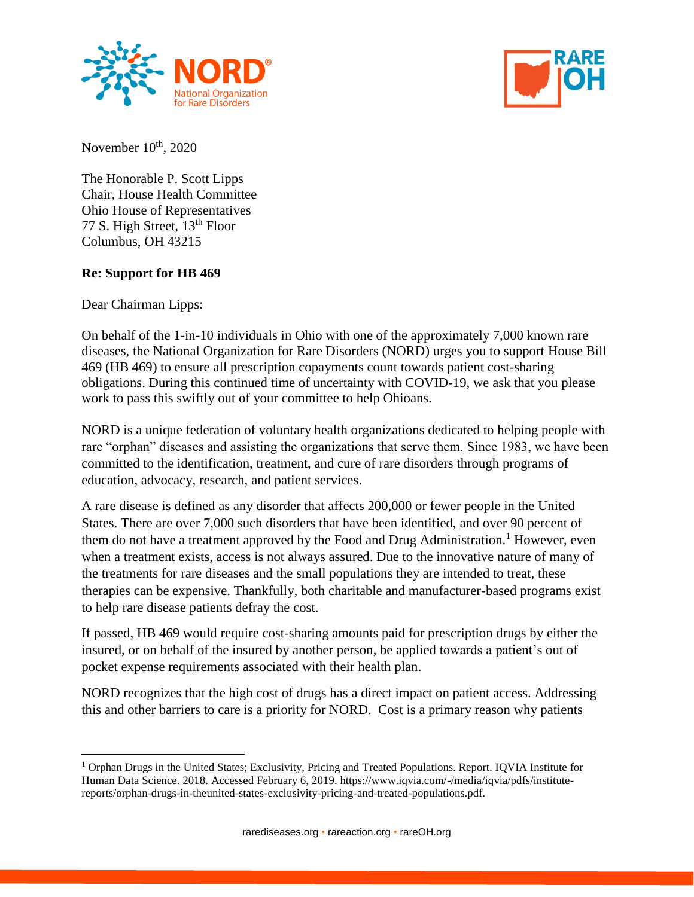



November  $10<sup>th</sup>$ , 2020

The Honorable P. Scott Lipps Chair, House Health Committee Ohio House of Representatives 77 S. High Street, 13th Floor Columbus, OH 43215

## **Re: Support for HB 469**

Dear Chairman Lipps:

 $\overline{a}$ 

On behalf of the 1-in-10 individuals in Ohio with one of the approximately 7,000 known rare diseases, the National Organization for Rare Disorders (NORD) urges you to support House Bill 469 (HB 469) to ensure all prescription copayments count towards patient cost-sharing obligations. During this continued time of uncertainty with COVID-19, we ask that you please work to pass this swiftly out of your committee to help Ohioans.

NORD is a unique federation of voluntary health organizations dedicated to helping people with rare "orphan" diseases and assisting the organizations that serve them. Since 1983, we have been committed to the identification, treatment, and cure of rare disorders through programs of education, advocacy, research, and patient services.

A rare disease is defined as any disorder that affects 200,000 or fewer people in the United States. There are over 7,000 such disorders that have been identified, and over 90 percent of them do not have a treatment approved by the Food and Drug Administration.<sup>1</sup> However, even when a treatment exists, access is not always assured. Due to the innovative nature of many of the treatments for rare diseases and the small populations they are intended to treat, these therapies can be expensive. Thankfully, both charitable and manufacturer-based programs exist to help rare disease patients defray the cost.

If passed, HB 469 would require cost-sharing amounts paid for prescription drugs by either the insured, or on behalf of the insured by another person, be applied towards a patient's out of pocket expense requirements associated with their health plan.

NORD recognizes that the high cost of drugs has a direct impact on patient access. Addressing this and other barriers to care is a priority for NORD. Cost is a primary reason why patients

<sup>1</sup> Orphan Drugs in the United States; Exclusivity, Pricing and Treated Populations. Report. IQVIA Institute for Human Data Science. 2018. Accessed February 6, 2019. https://www.iqvia.com/-/media/iqvia/pdfs/institutereports/orphan-drugs-in-theunited-states-exclusivity-pricing-and-treated-populations.pdf.